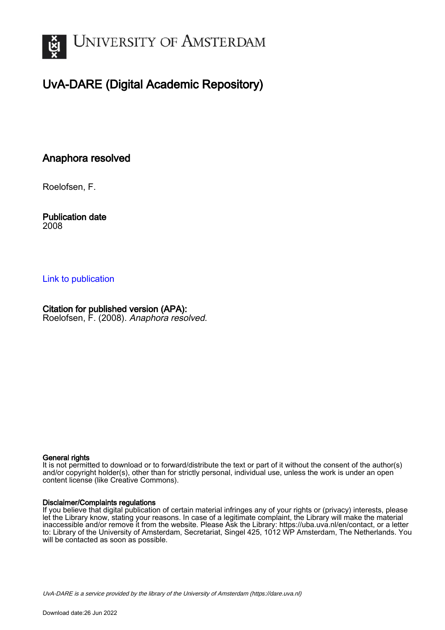

# UvA-DARE (Digital Academic Repository)

### Anaphora resolved

Roelofsen, F.

Publication date 2008

### [Link to publication](https://dare.uva.nl/personal/pure/en/publications/anaphora-resolved(d65fef0b-4dc4-4f9f-8d2a-fd882beb20ca).html)

### Citation for published version (APA):

Roelofsen, F. (2008). Anaphora resolved.

#### General rights

It is not permitted to download or to forward/distribute the text or part of it without the consent of the author(s) and/or copyright holder(s), other than for strictly personal, individual use, unless the work is under an open content license (like Creative Commons).

#### Disclaimer/Complaints regulations

If you believe that digital publication of certain material infringes any of your rights or (privacy) interests, please let the Library know, stating your reasons. In case of a legitimate complaint, the Library will make the material inaccessible and/or remove it from the website. Please Ask the Library: https://uba.uva.nl/en/contact, or a letter to: Library of the University of Amsterdam, Secretariat, Singel 425, 1012 WP Amsterdam, The Netherlands. You will be contacted as soon as possible.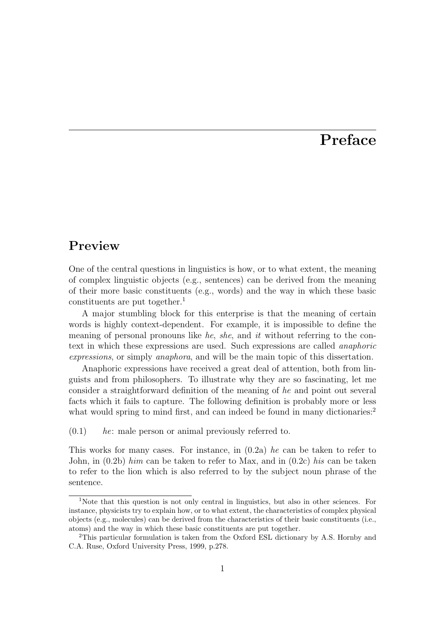# **Preface**

### **Preview**

One of the central questions in linguistics is how, or to what extent, the meaning of complex linguistic objects (e.g., sentences) can be derived from the meaning of their more basic constituents (e.g., words) and the way in which these basic constituents are put together.<sup>1</sup>

A major stumbling block for this enterprise is that the meaning of certain words is highly context-dependent. For example, it is impossible to define the meaning of personal pronouns like he, she, and it without referring to the context in which these expressions are used. Such expressions are called anaphoric expressions, or simply anaphora, and will be the main topic of this dissertation.

Anaphoric expressions have received a great deal of attention, both from linguists and from philosophers. To illustrate why they are so fascinating, let me consider a straightforward definition of the meaning of he and point out several facts which it fails to capture. The following definition is probably more or less what would spring to mind first, and can indeed be found in many dictionaries:<sup>2</sup>

 $(0.1)$  he: male person or animal previously referred to.

This works for many cases. For instance, in  $(0.2a)$  he can be taken to refer to John, in  $(0.2b)$  him can be taken to refer to Max, and in  $(0.2c)$  his can be taken to refer to the lion which is also referred to by the subject noun phrase of the sentence.

<sup>1</sup>Note that this question is not only central in linguistics, but also in other sciences. For instance, physicists try to explain how, or to what extent, the characteristics of complex physical objects (e.g., molecules) can be derived from the characteristics of their basic constituents (i.e., atoms) and the way in which these basic constituents are put together.

<sup>2</sup>This particular formulation is taken from the Oxford ESL dictionary by A.S. Hornby and C.A. Ruse, Oxford University Press, 1999, p.278.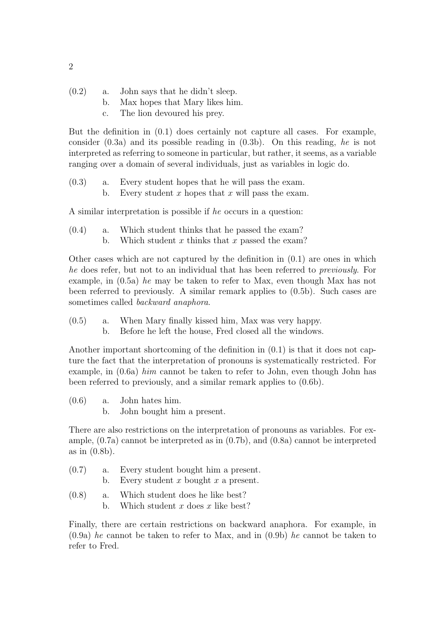- $(0.2)$  a. John says that he didn't sleep.
	- b. Max hopes that Mary likes him.
	- c. The lion devoured his prey.

But the definition in (0.1) does certainly not capture all cases. For example, consider (0.3a) and its possible reading in (0.3b). On this reading, he is not interpreted as referring to someone in particular, but rather, it seems, as a variable ranging over a domain of several individuals, just as variables in logic do.

(0.3) a. Every student hopes that he will pass the exam. b. Every student x hopes that x will pass the exam.

A similar interpretation is possible if he occurs in a question:

(0.4) a. Which student thinks that he passed the exam? b. Which student x thinks that x passed the exam?

Other cases which are not captured by the definition in  $(0.1)$  are ones in which he does refer, but not to an individual that has been referred to previously. For example, in (0.5a) he may be taken to refer to Max, even though Max has not been referred to previously. A similar remark applies to (0.5b). Such cases are sometimes called backward anaphora.

- (0.5) a. When Mary finally kissed him, Max was very happy.
	- b. Before he left the house, Fred closed all the windows.

Another important shortcoming of the definition in (0.1) is that it does not capture the fact that the interpretation of pronouns is systematically restricted. For example, in (0.6a) him cannot be taken to refer to John, even though John has been referred to previously, and a similar remark applies to (0.6b).

(0.6) a. John hates him. b. John bought him a present.

There are also restrictions on the interpretation of pronouns as variables. For example, (0.7a) cannot be interpreted as in (0.7b), and (0.8a) cannot be interpreted as in (0.8b).

- (0.7) a. Every student bought him a present.
	- b. Every student x bought x a present.
- (0.8) a. Which student does he like best? b. Which student x does x like best?

Finally, there are certain restrictions on backward anaphora. For example, in  $(0.9a)$  he cannot be taken to refer to Max, and in  $(0.9b)$  he cannot be taken to refer to Fred.

2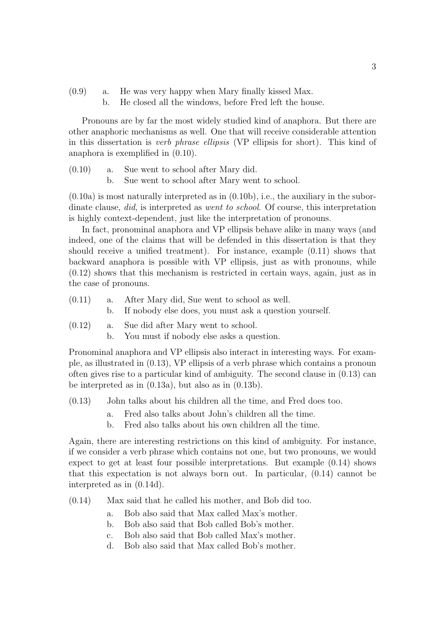- (0.9) a. He was very happy when Mary finally kissed Max.
	- b. He closed all the windows, before Fred left the house.

Pronouns are by far the most widely studied kind of anaphora. But there are other anaphoric mechanisms as well. One that will receive considerable attention in this dissertation is verb phrase ellipsis (VP ellipsis for short). This kind of anaphora is exemplified in (0.10).

(0.10) a. Sue went to school after Mary did. b. Sue went to school after Mary went to school.

 $(0.10a)$  is most naturally interpreted as in  $(0.10b)$ , i.e., the auxiliary in the subordinate clause, did, is interpreted as went to school. Of course, this interpretation is highly context-dependent, just like the interpretation of pronouns.

In fact, pronominal anaphora and VP ellipsis behave alike in many ways (and indeed, one of the claims that will be defended in this dissertation is that they should receive a unified treatment). For instance, example (0.11) shows that backward anaphora is possible with VP ellipsis, just as with pronouns, while (0.12) shows that this mechanism is restricted in certain ways, again, just as in the case of pronouns.

- (0.11) a. After Mary did, Sue went to school as well.
	- b. If nobody else does, you must ask a question yourself.
- (0.12) a. Sue did after Mary went to school.
	- b. You must if nobody else asks a question.

Pronominal anaphora and VP ellipsis also interact in interesting ways. For example, as illustrated in (0.13), VP ellipsis of a verb phrase which contains a pronoun often gives rise to a particular kind of ambiguity. The second clause in (0.13) can be interpreted as in (0.13a), but also as in (0.13b).

- (0.13) John talks about his children all the time, and Fred does too.
	- a. Fred also talks about John's children all the time.
	- b. Fred also talks about his own children all the time.

Again, there are interesting restrictions on this kind of ambiguity. For instance, if we consider a verb phrase which contains not one, but two pronouns, we would expect to get at least four possible interpretations. But example (0.14) shows that this expectation is not always born out. In particular, (0.14) cannot be interpreted as in (0.14d).

- (0.14) Max said that he called his mother, and Bob did too.
	- a. Bob also said that Max called Max's mother.
	- b. Bob also said that Bob called Bob's mother.
	- c. Bob also said that Bob called Max's mother.
	- d. Bob also said that Max called Bob's mother.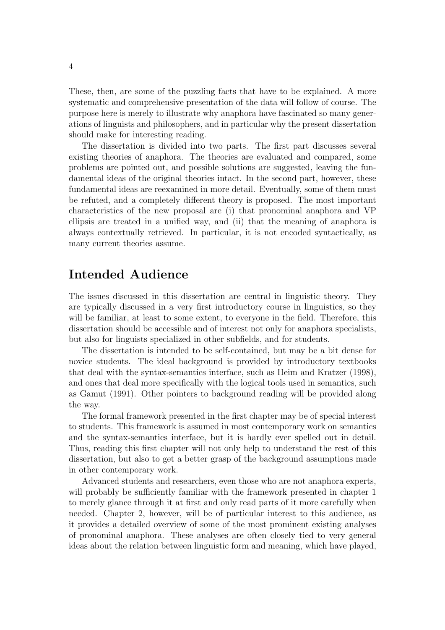These, then, are some of the puzzling facts that have to be explained. A more systematic and comprehensive presentation of the data will follow of course. The purpose here is merely to illustrate why anaphora have fascinated so many generations of linguists and philosophers, and in particular why the present dissertation should make for interesting reading.

The dissertation is divided into two parts. The first part discusses several existing theories of anaphora. The theories are evaluated and compared, some problems are pointed out, and possible solutions are suggested, leaving the fundamental ideas of the original theories intact. In the second part, however, these fundamental ideas are reexamined in more detail. Eventually, some of them must be refuted, and a completely different theory is proposed. The most important characteristics of the new proposal are (i) that pronominal anaphora and VP ellipsis are treated in a unified way, and (ii) that the meaning of anaphora is always contextually retrieved. In particular, it is not encoded syntactically, as many current theories assume.

## **Intended Audience**

The issues discussed in this dissertation are central in linguistic theory. They are typically discussed in a very first introductory course in linguistics, so they will be familiar, at least to some extent, to everyone in the field. Therefore, this dissertation should be accessible and of interest not only for anaphora specialists, but also for linguists specialized in other subfields, and for students.

The dissertation is intended to be self-contained, but may be a bit dense for novice students. The ideal background is provided by introductory textbooks that deal with the syntax-semantics interface, such as Heim and Kratzer (1998), and ones that deal more specifically with the logical tools used in semantics, such as Gamut (1991). Other pointers to background reading will be provided along the way.

The formal framework presented in the first chapter may be of special interest to students. This framework is assumed in most contemporary work on semantics and the syntax-semantics interface, but it is hardly ever spelled out in detail. Thus, reading this first chapter will not only help to understand the rest of this dissertation, but also to get a better grasp of the background assumptions made in other contemporary work.

Advanced students and researchers, even those who are not anaphora experts, will probably be sufficiently familiar with the framework presented in chapter 1 to merely glance through it at first and only read parts of it more carefully when needed. Chapter 2, however, will be of particular interest to this audience, as it provides a detailed overview of some of the most prominent existing analyses of pronominal anaphora. These analyses are often closely tied to very general ideas about the relation between linguistic form and meaning, which have played,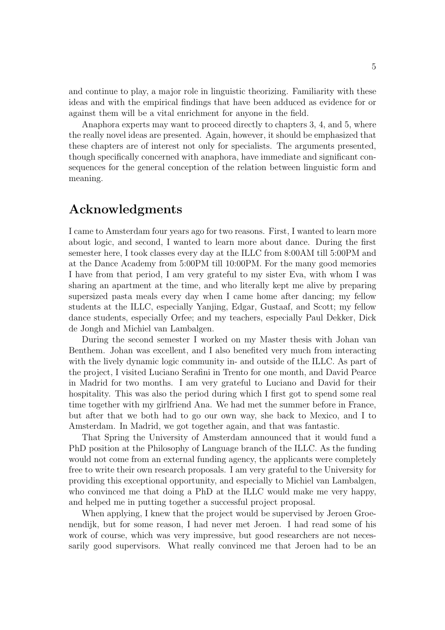and continue to play, a major role in linguistic theorizing. Familiarity with these ideas and with the empirical findings that have been adduced as evidence for or against them will be a vital enrichment for anyone in the field.

Anaphora experts may want to proceed directly to chapters 3, 4, and 5, where the really novel ideas are presented. Again, however, it should be emphasized that these chapters are of interest not only for specialists. The arguments presented, though specifically concerned with anaphora, have immediate and significant consequences for the general conception of the relation between linguistic form and meaning.

## **Acknowledgments**

I came to Amsterdam four years ago for two reasons. First, I wanted to learn more about logic, and second, I wanted to learn more about dance. During the first semester here, I took classes every day at the ILLC from 8:00AM till 5:00PM and at the Dance Academy from 5:00PM till 10:00PM. For the many good memories I have from that period, I am very grateful to my sister Eva, with whom I was sharing an apartment at the time, and who literally kept me alive by preparing supersized pasta meals every day when I came home after dancing; my fellow students at the ILLC, especially Yanjing, Edgar, Gustaaf, and Scott; my fellow dance students, especially Orfee; and my teachers, especially Paul Dekker, Dick de Jongh and Michiel van Lambalgen.

During the second semester I worked on my Master thesis with Johan van Benthem. Johan was excellent, and I also benefited very much from interacting with the lively dynamic logic community in- and outside of the ILLC. As part of the project, I visited Luciano Serafini in Trento for one month, and David Pearce in Madrid for two months. I am very grateful to Luciano and David for their hospitality. This was also the period during which I first got to spend some real time together with my girlfriend Ana. We had met the summer before in France, but after that we both had to go our own way, she back to Mexico, and I to Amsterdam. In Madrid, we got together again, and that was fantastic.

That Spring the University of Amsterdam announced that it would fund a PhD position at the Philosophy of Language branch of the ILLC. As the funding would not come from an external funding agency, the applicants were completely free to write their own research proposals. I am very grateful to the University for providing this exceptional opportunity, and especially to Michiel van Lambalgen, who convinced me that doing a PhD at the ILLC would make me very happy, and helped me in putting together a successful project proposal.

When applying, I knew that the project would be supervised by Jeroen Groenendijk, but for some reason, I had never met Jeroen. I had read some of his work of course, which was very impressive, but good researchers are not necessarily good supervisors. What really convinced me that Jeroen had to be an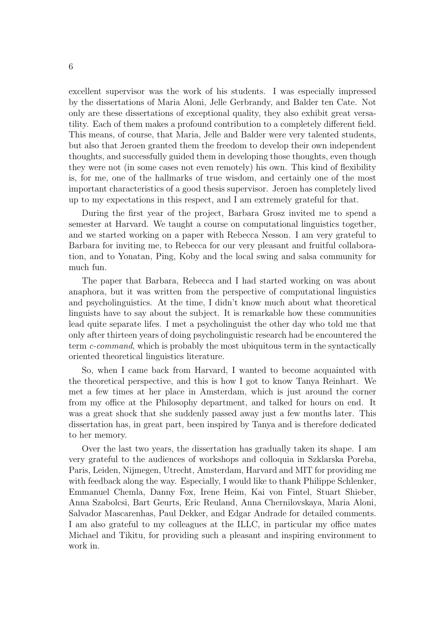excellent supervisor was the work of his students. I was especially impressed by the dissertations of Maria Aloni, Jelle Gerbrandy, and Balder ten Cate. Not only are these dissertations of exceptional quality, they also exhibit great versatility. Each of them makes a profound contribution to a completely different field. This means, of course, that Maria, Jelle and Balder were very talented students, but also that Jeroen granted them the freedom to develop their own independent thoughts, and successfully guided them in developing those thoughts, even though they were not (in some cases not even remotely) his own. This kind of flexibility is, for me, one of the hallmarks of true wisdom, and certainly one of the most important characteristics of a good thesis supervisor. Jeroen has completely lived up to my expectations in this respect, and I am extremely grateful for that.

During the first year of the project, Barbara Grosz invited me to spend a semester at Harvard. We taught a course on computational linguistics together, and we started working on a paper with Rebecca Nesson. I am very grateful to Barbara for inviting me, to Rebecca for our very pleasant and fruitful collaboration, and to Yonatan, Ping, Koby and the local swing and salsa community for much fun.

The paper that Barbara, Rebecca and I had started working on was about anaphora, but it was written from the perspective of computational linguistics and psycholinguistics. At the time, I didn't know much about what theoretical linguists have to say about the subject. It is remarkable how these communities lead quite separate lifes. I met a psycholinguist the other day who told me that only after thirteen years of doing psycholinguistic research had be encountered the term c-command, which is probably the most ubiquitous term in the syntactically oriented theoretical linguistics literature.

So, when I came back from Harvard, I wanted to become acquainted with the theoretical perspective, and this is how I got to know Tanya Reinhart. We met a few times at her place in Amsterdam, which is just around the corner from my office at the Philosophy department, and talked for hours on end. It was a great shock that she suddenly passed away just a few months later. This dissertation has, in great part, been inspired by Tanya and is therefore dedicated to her memory.

Over the last two years, the dissertation has gradually taken its shape. I am very grateful to the audiences of workshops and colloquia in Szklarska Poreba, Paris, Leiden, Nijmegen, Utrecht, Amsterdam, Harvard and MIT for providing me with feedback along the way. Especially, I would like to thank Philippe Schlenker, Emmanuel Chemla, Danny Fox, Irene Heim, Kai von Fintel, Stuart Shieber, Anna Szabolcsi, Bart Geurts, Eric Reuland, Anna Chernilovskaya, Maria Aloni, Salvador Mascarenhas, Paul Dekker, and Edgar Andrade for detailed comments. I am also grateful to my colleagues at the ILLC, in particular my office mates Michael and Tikitu, for providing such a pleasant and inspiring environment to work in.